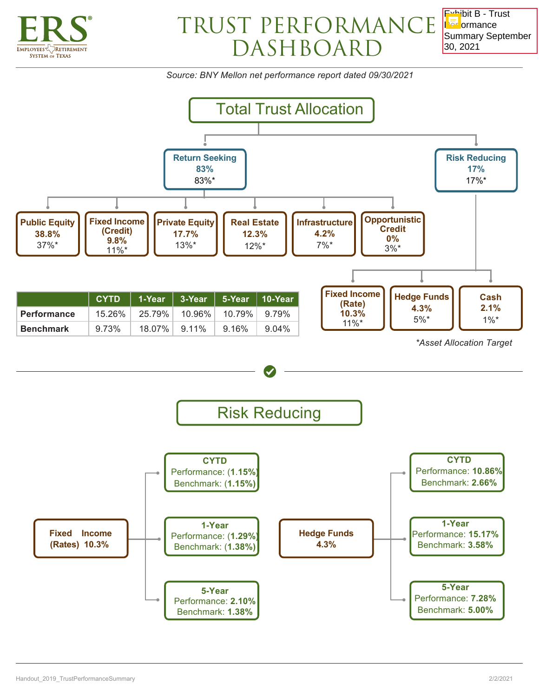

## TRUST PERFORMANCE DASHBOARD

Exhibit B - Trust **Par**ormance Summary September 30, 2021

*Source: BNY Mellon net performance report dated 09/30/2021*